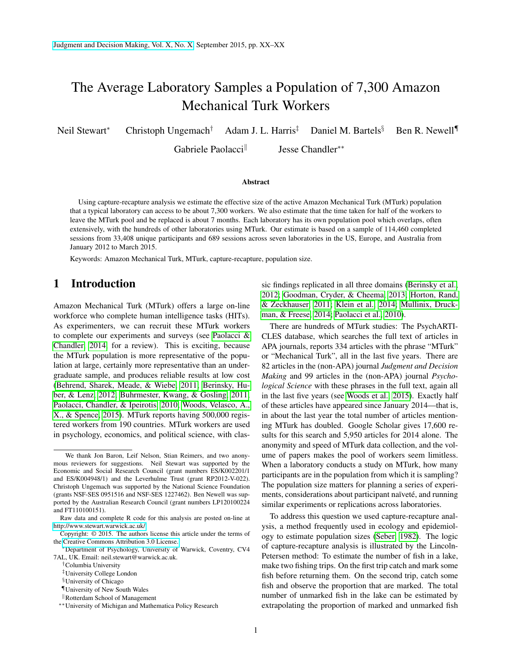# The Average Laboratory Samples a Population of 7,300 Amazon Mechanical Turk Workers

Neil Stewart<sup>∗</sup> Christoph Ungemach<sup>†</sup> Adam J. L. Harris<sup>‡</sup> Daniel M. Bartels<sup>§</sup> Ben R. Newell¶

Gabriele Paolacci<sup>ll</sup> Jesse Chandler∗∗

#### Abstract

Using capture-recapture analysis we estimate the effective size of the active Amazon Mechanical Turk (MTurk) population that a typical laboratory can access to be about 7,300 workers. We also estimate that the time taken for half of the workers to leave the MTurk pool and be replaced is about 7 months. Each laboratory has its own population pool which overlaps, often extensively, with the hundreds of other laboratories using MTurk. Our estimate is based on a sample of 114,460 completed sessions from 33,408 unique participants and 689 sessions across seven laboratories in the US, Europe, and Australia from January 2012 to March 2015.

Keywords: Amazon Mechanical Turk, MTurk, capture-recapture, population size.

### 1 Introduction

Amazon Mechanical Turk (MTurk) offers a large on-line workforce who complete human intelligence tasks (HITs). As experimenters, we can recruit these MTurk workers to complete our experiments and surveys (see [Paolacci &](#page-9-0) [Chandler, 2014,](#page-9-0) for a review). This is exciting, because the MTurk population is more representative of the population at large, certainly more representative than an undergraduate sample, and produces reliable results at low cost [\(Behrend, Sharek, Meade, & Wiebe, 2011;](#page-8-0) [Berinsky, Hu](#page-8-1)[ber, & Lenz, 2012;](#page-8-1) [Buhrmester, Kwang, & Gosling, 2011;](#page-8-2) [Paolacci, Chandler, & Ipeirotis, 2010;](#page-9-1) [Woods, Velasco, A.,](#page-9-2) [X., & Spence, 2015\)](#page-9-2). MTurk reports having 500,000 registered workers from 190 countries. MTurk workers are used in psychology, economics, and political science, with clas-

†Columbia University

sic findings replicated in all three domains [\(Berinsky et al.,](#page-8-1) [2012;](#page-8-1) [Goodman, Cryder, & Cheema, 2013;](#page-9-3) [Horton, Rand,](#page-9-4) [& Zeckhauser, 2011;](#page-9-4) [Klein et al., 2014;](#page-9-5) [Mullinix, Druck](#page-9-6)[man, & Freese, 2014;](#page-9-6) [Paolacci et al., 2010\)](#page-9-1).

There are hundreds of MTurk studies: The PsychARTI-CLES database, which searches the full text of articles in APA journals, reports 334 articles with the phrase "MTurk" or "Mechanical Turk", all in the last five years. There are 82 articles in the (non-APA) journal *Judgment and Decision Making* and 99 articles in the (non-APA) journal *Psychological Science* with these phrases in the full text, again all in the last five years (see [Woods et al., 2015\)](#page-9-2). Exactly half of these articles have appeared since January 2014—that is, in about the last year the total number of articles mentioning MTurk has doubled. Google Scholar gives 17,600 results for this search and 5,950 articles for 2014 alone. The anonymity and speed of MTurk data collection, and the volume of papers makes the pool of workers seem limitless. When a laboratory conducts a study on MTurk, how many participants are in the population from which it is sampling? The population size matters for planning a series of experiments, considerations about participant naïveté, and running similar experiments or replications across laboratories.

To address this question we used capture-recapture analysis, a method frequently used in ecology and epidemiology to estimate population sizes [\(Seber, 1982\)](#page-9-7). The logic of capture-recapture analysis is illustrated by the Lincoln-Petersen method: To estimate the number of fish in a lake, make two fishing trips. On the first trip catch and mark some fish before returning them. On the second trip, catch some fish and observe the proportion that are marked. The total number of unmarked fish in the lake can be estimated by extrapolating the proportion of marked and unmarked fish

We thank Jon Baron, Leif Nelson, Stian Reimers, and two anonymous reviewers for suggestions. Neil Stewart was supported by the Economic and Social Research Council (grant numbers ES/K002201/1 and ES/K004948/1) and the Leverhulme Trust (grant RP2012-V-022). Christoph Ungemach was supported by the National Science Foundation (grants NSF-SES 0951516 and NSF-SES 1227462). Ben Newell was supported by the Australian Research Council (grant numbers LP120100224 and FT110100151).

Raw data and complete R code for this analysis are posted on-line at [http://www.stewart.warwick.ac.uk/.](http://www.stewart.warwick.ac.uk/)

Copyright: © 2015. The authors license this article under the terms of the [Creative Commons Attribution 3.0 License.](http://creativecommons.org/licenses/by/3.0/)

<sup>∗</sup>Department of Psychology, University of Warwick, Coventry, CV4 7AL, UK. Email: neil.stewart@warwick.ac.uk.

<sup>‡</sup>University College London

<sup>§</sup>University of Chicago

<sup>¶</sup>University of New South Wales

Rotterdam School of Management

<sup>∗∗</sup>University of Michigan and Mathematica Policy Research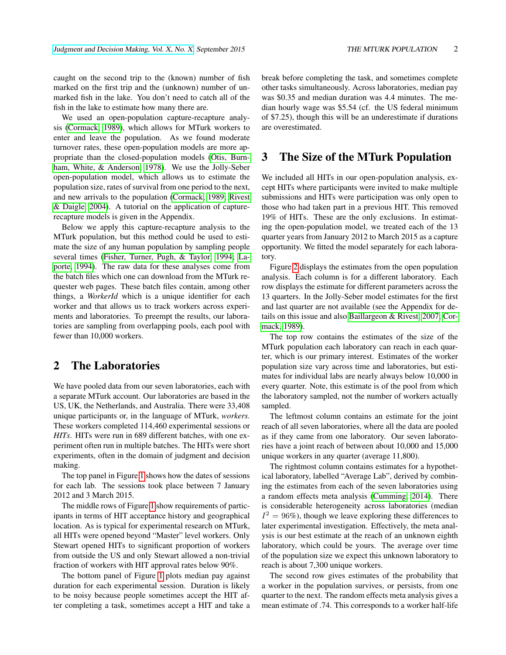marked fish in the lake. You don't need to catch all of the

caught on the second trip to the (known) number of fish marked on the first trip and the (unknown) number of un-

fish in the lake to estimate how many there are. We used an open-population capture-recapture analysis [\(Cormack, 1989\)](#page-8-3), which allows for MTurk workers to enter and leave the population. As we found moderate turnover rates, these open-population models are more appropriate than the closed-population models [\(Otis, Burn](#page-9-8)[ham, White, & Anderson, 1978\)](#page-9-8). We use the Jolly-Seber open-population model, which allows us to estimate the population size, rates of survival from one period to the next, and new arrivals to the population [\(Cormack, 1989;](#page-8-3) [Rivest](#page-9-9) [& Daigle, 2004\)](#page-9-9). A tutorial on the application of capture-

recapture models is given in the Appendix.

Below we apply this capture-recapture analysis to the MTurk population, but this method could be used to estimate the size of any human population by sampling people several times [\(Fisher, Turner, Pugh, & Taylor, 1994;](#page-9-10) [La](#page-9-11)[porte, 1994\)](#page-9-11). The raw data for these analyses come from the batch files which one can download from the MTurk requester web pages. These batch files contain, among other things, a *WorkerId* which is a unique identifier for each worker and that allows us to track workers across experiments and laboratories. To preempt the results, our laboratories are sampling from overlapping pools, each pool with fewer than 10,000 workers.

## 2 The Laboratories

We have pooled data from our seven laboratories, each with a separate MTurk account. Our laboratories are based in the US, UK, the Netherlands, and Australia. There were 33,408 unique participants or, in the language of MTurk, *workers*. These workers completed 114,460 experimental sessions or *HITs*. HITs were run in 689 different batches, with one experiment often run in multiple batches. The HITs were short experiments, often in the domain of judgment and decision making.

The top panel in Figure [1](#page-2-0) shows how the dates of sessions for each lab. The sessions took place between 7 January 2012 and 3 March 2015.

The middle rows of Figure [1](#page-2-0) show requirements of participants in terms of HIT acceptance history and geographical location. As is typical for experimental research on MTurk, all HITs were opened beyond "Master" level workers. Only Stewart opened HITs to significant proportion of workers from outside the US and only Stewart allowed a non-trivial fraction of workers with HIT approval rates below 90%.

The bottom panel of Figure [1](#page-2-0) plots median pay against duration for each experimental session. Duration is likely to be noisy because people sometimes accept the HIT after completing a task, sometimes accept a HIT and take a break before completing the task, and sometimes complete other tasks simultaneously. Across laboratories, median pay was \$0.35 and median duration was 4.4 minutes. The median hourly wage was \$5.54 (cf. the US federal minimum of \$7.25), though this will be an underestimate if durations are overestimated.

### 3 The Size of the MTurk Population

We included all HITs in our open-population analysis, except HITs where participants were invited to make multiple submissions and HITs were participation was only open to those who had taken part in a previous HIT. This removed 19% of HITs. These are the only exclusions. In estimating the open-population model, we treated each of the 13 quarter years from January 2012 to March 2015 as a capture opportunity. We fitted the model separately for each laboratory.

Figure [2](#page-3-0) displays the estimates from the open population analysis. Each column is for a different laboratory. Each row displays the estimate for different parameters across the 13 quarters. In the Jolly-Seber model estimates for the first and last quarter are not available (see the Appendix for details on this issue and also [Baillargeon & Rivest, 2007;](#page-8-4) [Cor](#page-8-3)[mack, 1989\)](#page-8-3).

The top row contains the estimates of the size of the MTurk population each laboratory can reach in each quarter, which is our primary interest. Estimates of the worker population size vary across time and laboratories, but estimates for individual labs are nearly always below 10,000 in every quarter. Note, this estimate is of the pool from which the laboratory sampled, not the number of workers actually sampled.

The leftmost column contains an estimate for the joint reach of all seven laboratories, where all the data are pooled as if they came from one laboratory. Our seven laboratories have a joint reach of between about 10,000 and 15,000 unique workers in any quarter (average 11,800).

The rightmost column contains estimates for a hypothetical laboratory, labelled "Average Lab", derived by combining the estimates from each of the seven laboratories using a random effects meta analysis [\(Cumming, 2014\)](#page-8-5). There is considerable heterogeneity across laboratories (median  $I^2 = 96\%$ ), though we leave exploring these differences to later experimental investigation. Effectively, the meta analysis is our best estimate at the reach of an unknown eighth laboratory, which could be yours. The average over time of the population size we expect this unknown laboratory to reach is about 7,300 unique workers.

The second row gives estimates of the probability that a worker in the population survives, or persists, from one quarter to the next. The random effects meta analysis gives a mean estimate of .74. This corresponds to a worker half-life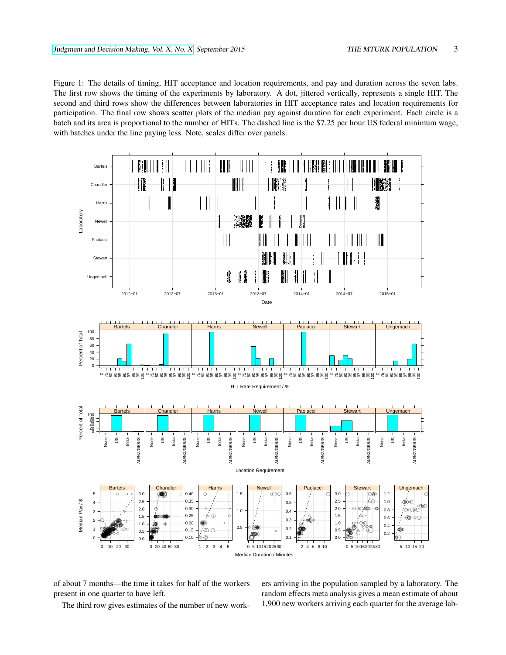<span id="page-2-0"></span>Figure 1: The details of timing, HIT acceptance and location requirements, and pay and duration across the seven labs. The first row shows the timing of the experiments by laboratory. A dot, jittered vertically, represents a single HIT. The second and third rows show the differences between laboratories in HIT acceptance rates and location requirements for participation. The final row shows scatter plots of the median pay against duration for each experiment. Each circle is a batch and its area is proportional to the number of HITs. The dashed line is the \$7.25 per hour US federal minimum wage, with batches under the line paying less. Note, scales differ over panels.



of about 7 months—the time it takes for half of the workers present in one quarter to have left.

The third row gives estimates of the number of new work-

ers arriving in the population sampled by a laboratory. The random effects meta analysis gives a mean estimate of about 1,900 new workers arriving each quarter for the average lab-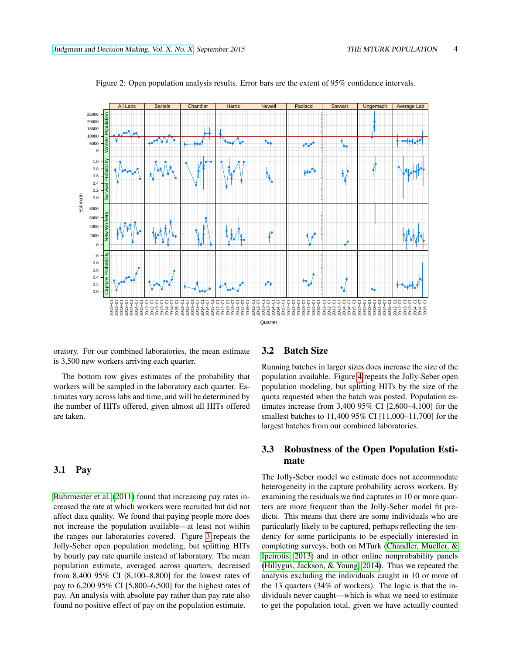

<span id="page-3-0"></span>Figure 2: Open population analysis results. Error bars are the extent of 95% confidence intervals.

oratory. For our combined laboratories, the mean estimate is 3,500 new workers arriving each quarter.

The bottom row gives estimates of the probability that workers will be sampled in the laboratory each quarter. Estimates vary across labs and time, and will be determined by the number of HITs offered, given almost all HITs offered are taken.

#### 3.1 Pay

[Buhrmester et al.](#page-8-2) [\(2011\)](#page-8-2) found that increasing pay rates increased the rate at which workers were recruited but did not affect data quality. We found that paying people more does not increase the population available—at least not within the ranges our laboratories covered. Figure [3](#page-4-0) repeats the Jolly-Seber open population modeling, but splitting HITs by hourly pay rate quartile instead of laboratory. The mean population estimate, averaged across quarters, decreased from 8,400 95% CI [8,100–8,800] for the lowest rates of pay to 6,200 95% CI [5,800–6,500] for the highest rates of pay. An analysis with absolute pay rather than pay rate also found no positive effect of pay on the population estimate.

#### <span id="page-3-1"></span>3.2 Batch Size

Running batches in larger sizes does increase the size of the population available. Figure [4](#page-5-0) repeats the Jolly-Seber open population modeling, but splitting HITs by the size of the quota requested when the batch was posted. Population estimates increase from 3,400 95% CI [2,600–4,100] for the smallest batches to 11,400 95% CI [11,000–11,700] for the largest batches from our combined laboratories.

#### 3.3 Robustness of the Open Population Estimate

The Jolly-Seber model we estimate does not accommodate heterogeneity in the capture probability across workers. By examining the residuals we find captures in 10 or more quarters are more frequent than the Jolly-Seber model fit predicts. This means that there are some individuals who are particularly likely to be captured, perhaps reflecting the tendency for some participants to be especially interested in completing surveys, both on MTurk [\(Chandler, Mueller, &](#page-8-6) [Ipeirotis, 2013\)](#page-8-6) and in other online nonprobability panels [\(Hillygus, Jackson, & Young, 2014\)](#page-9-12). Thus we repeated the analysis excluding the individuals caught in 10 or more of the 13 quarters (34% of workers). The logic is that the individuals never caught—which is what we need to estimate to get the population total, given we have actually counted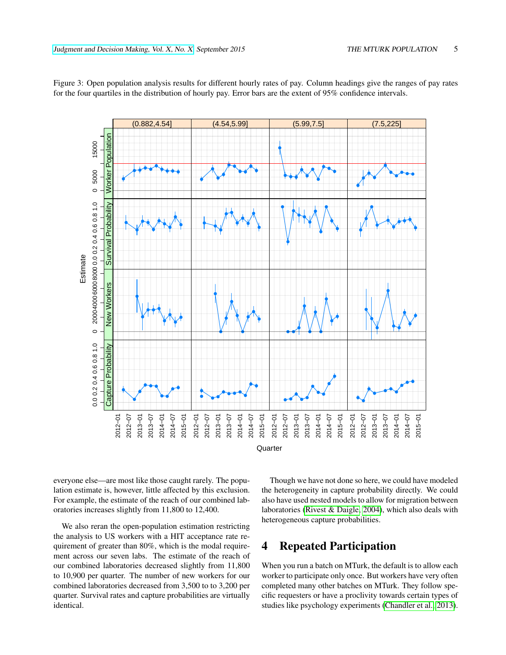<span id="page-4-0"></span>

Figure 3: Open population analysis results for different hourly rates of pay. Column headings give the ranges of pay rates for the four quartiles in the distribution of hourly pay. Error bars are the extent of 95% confidence intervals.

everyone else—are most like those caught rarely. The population estimate is, however, little affected by this exclusion. For example, the estimate of the reach of our combined laboratories increases slightly from 11,800 to 12,400.

We also reran the open-population estimation restricting the analysis to US workers with a HIT acceptance rate requirement of greater than 80%, which is the modal requirement across our seven labs. The estimate of the reach of our combined laboratories decreased slightly from 11,800 to 10,900 per quarter. The number of new workers for our combined laboratories decreased from 3,500 to to 3,200 per quarter. Survival rates and capture probabilities are virtually identical.

Though we have not done so here, we could have modeled the heterogeneity in capture probability directly. We could also have used nested models to allow for migration between laboratories [\(Rivest & Daigle, 2004\)](#page-9-9), which also deals with heterogeneous capture probabilities.

# 4 Repeated Participation

When you run a batch on MTurk, the default is to allow each worker to participate only once. But workers have very often completed many other batches on MTurk. They follow specific requesters or have a proclivity towards certain types of studies like psychology experiments [\(Chandler et al., 2013\)](#page-8-6).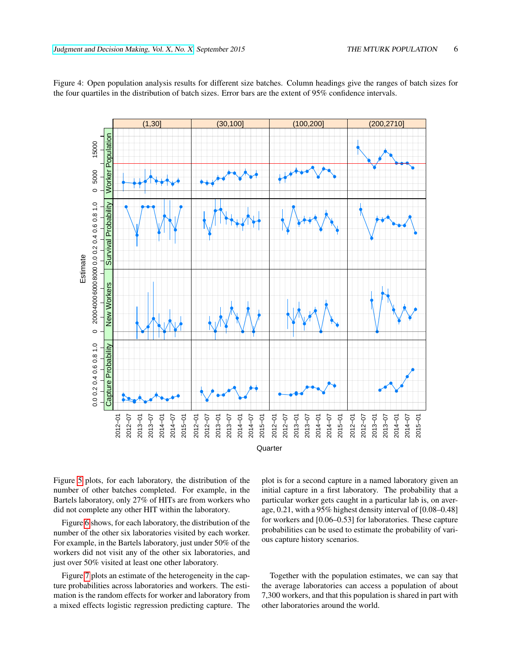<span id="page-5-0"></span>

Figure 4: Open population analysis results for different size batches. Column headings give the ranges of batch sizes for the four quartiles in the distribution of batch sizes. Error bars are the extent of 95% confidence intervals.

Figure [5](#page-6-0) plots, for each laboratory, the distribution of the number of other batches completed. For example, in the Bartels laboratory, only 27% of HITs are from workers who did not complete any other HIT within the laboratory.

Figure [6](#page-6-1) shows, for each laboratory, the distribution of the number of the other six laboratories visited by each worker. For example, in the Bartels laboratory, just under 50% of the workers did not visit any of the other six laboratories, and just over 50% visited at least one other laboratory.

Figure [7](#page-7-0) plots an estimate of the heterogeneity in the capture probabilities across laboratories and workers. The estimation is the random effects for worker and laboratory from a mixed effects logistic regression predicting capture. The plot is for a second capture in a named laboratory given an initial capture in a first laboratory. The probability that a particular worker gets caught in a particular lab is, on average, 0.21, with a 95% highest density interval of [0.08–0.48] for workers and [0.06–0.53] for laboratories. These capture probabilities can be used to estimate the probability of various capture history scenarios.

Together with the population estimates, we can say that the average laboratories can access a population of about 7,300 workers, and that this population is shared in part with other laboratories around the world.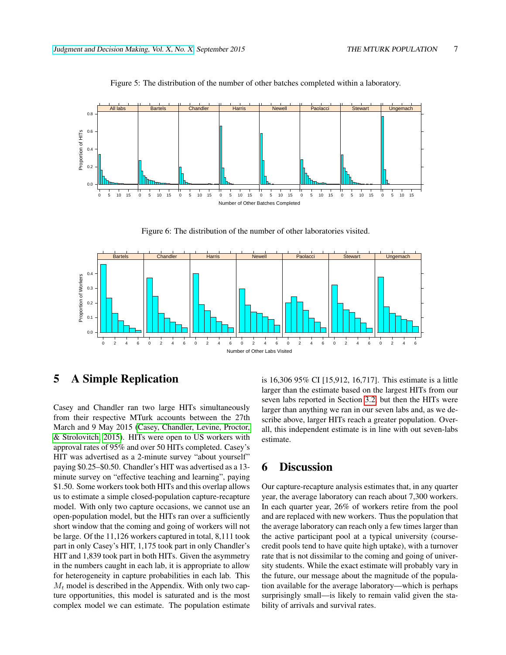

<span id="page-6-0"></span>Figure 5: The distribution of the number of other batches completed within a laboratory.

<span id="page-6-1"></span>Figure 6: The distribution of the number of other laboratories visited.



## 5 A Simple Replication

Casey and Chandler ran two large HITs simultaneously from their respective MTurk accounts between the 27th March and 9 May 2015 [\(Casey, Chandler, Levine, Proctor,](#page-8-7) [& Strolovitch, 2015\)](#page-8-7). HITs were open to US workers with approval rates of 95% and over 50 HITs completed. Casey's HIT was advertised as a 2-minute survey "about yourself" paying \$0.25–\$0.50. Chandler's HIT was advertised as a 13 minute survey on "effective teaching and learning", paying \$1.50. Some workers took both HITs and this overlap allows us to estimate a simple closed-population capture-recapture model. With only two capture occasions, we cannot use an open-population model, but the HITs ran over a sufficiently short window that the coming and going of workers will not be large. Of the 11,126 workers captured in total, 8,111 took part in only Casey's HIT, 1,175 took part in only Chandler's HIT and 1,839 took part in both HITs. Given the asymmetry in the numbers caught in each lab, it is appropriate to allow for heterogeneity in capture probabilities in each lab. This  $M_t$  model is described in the Appendix. With only two capture opportunities, this model is saturated and is the most complex model we can estimate. The population estimate is 16,306 95% CI [15,912, 16,717]. This estimate is a little larger than the estimate based on the largest HITs from our seven labs reported in Section [3.2,](#page-3-1) but then the HITs were larger than anything we ran in our seven labs and, as we describe above, larger HITs reach a greater population. Overall, this independent estimate is in line with out seven-labs estimate.

### 6 Discussion

Our capture-recapture analysis estimates that, in any quarter year, the average laboratory can reach about 7,300 workers. In each quarter year, 26% of workers retire from the pool and are replaced with new workers. Thus the population that the average laboratory can reach only a few times larger than the active participant pool at a typical university (coursecredit pools tend to have quite high uptake), with a turnover rate that is not dissimilar to the coming and going of university students. While the exact estimate will probably vary in the future, our message about the magnitude of the population available for the average laboratory—which is perhaps surprisingly small—is likely to remain valid given the stability of arrivals and survival rates.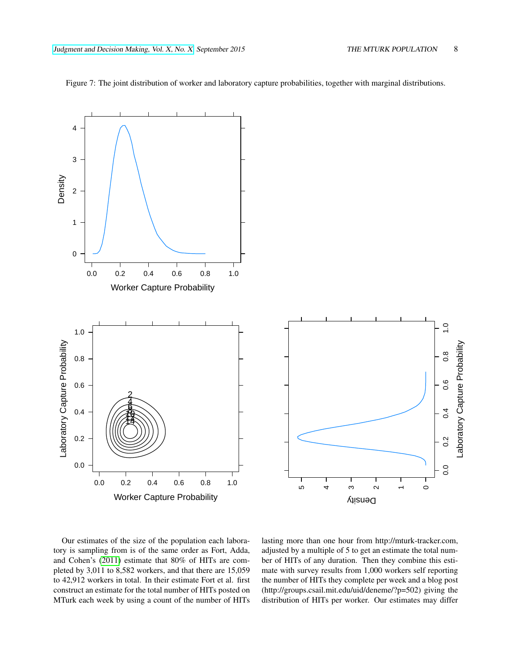

<span id="page-7-0"></span>Figure 7: The joint distribution of worker and laboratory capture probabilities, together with marginal distributions.



Our estimates of the size of the population each laboratory is sampling from is of the same order as Fort, Adda, and Cohen's [\(2011\)](#page-9-13) estimate that 80% of HITs are completed by 3,011 to 8,582 workers, and that there are 15,059 to 42,912 workers in total. In their estimate Fort et al. first construct an estimate for the total number of HITs posted on MTurk each week by using a count of the number of HITs lasting more than one hour from http://mturk-tracker.com, adjusted by a multiple of 5 to get an estimate the total number of HITs of any duration. Then they combine this estimate with survey results from 1,000 workers self reporting the number of HITs they complete per week and a blog post (http://groups.csail.mit.edu/uid/deneme/?p=502) giving the distribution of HITs per worker. Our estimates may differ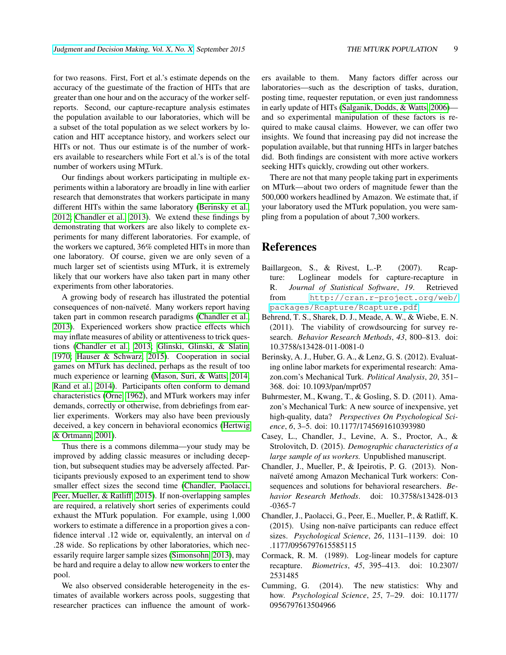for two reasons. First, Fort et al.'s estimate depends on the accuracy of the guestimate of the fraction of HITs that are greater than one hour and on the accuracy of the worker selfreports. Second, our capture-recapture analysis estimates the population available to our laboratories, which will be a subset of the total population as we select workers by location and HIT acceptance history, and workers select our HITs or not. Thus our estimate is of the number of workers available to researchers while Fort et al.'s is of the total number of workers using MTurk.

Our findings about workers participating in multiple experiments within a laboratory are broadly in line with earlier research that demonstrates that workers participate in many different HITs within the same laboratory [\(Berinsky et al.,](#page-8-1) [2012;](#page-8-1) [Chandler et al., 2013\)](#page-8-6). We extend these findings by demonstrating that workers are also likely to complete experiments for many different laboratories. For example, of the workers we captured, 36% completed HITs in more than one laboratory. Of course, given we are only seven of a much larger set of scientists using MTurk, it is extremely likely that our workers have also taken part in many other experiments from other laboratories.

A growing body of research has illustrated the potential consequences of non-naïveté. Many workers report having taken part in common research paradigms [\(Chandler et al.,](#page-8-6) [2013\)](#page-8-6). Experienced workers show practice effects which may inflate measures of ability or attentiveness to trick questions [\(Chandler et al., 2013;](#page-8-6) [Glinski, Glinski, & Slatin,](#page-9-14) [1970;](#page-9-14) [Hauser & Schwarz, 2015\)](#page-9-15). Cooperation in social games on MTurk has declined, perhaps as the result of too much experience or learning [\(Mason, Suri, & Watts, 2014;](#page-9-16) [Rand et al., 2014\)](#page-9-17). Participants often conform to demand characteristics [\(Orne, 1962\)](#page-9-18), and MTurk workers may infer demands, correctly or otherwise, from debriefings from earlier experiments. Workers may also have been previously deceived, a key concern in behavioral economics [\(Hertwig](#page-9-19) [& Ortmann, 2001\)](#page-9-19).

Thus there is a commons dilemma—your study may be improved by adding classic measures or including deception, but subsequent studies may be adversely affected. Participants previously exposed to an experiment tend to show smaller effect sizes the second time [\(Chandler, Paolacci,](#page-8-8) [Peer, Mueller, & Ratliff, 2015\)](#page-8-8). If non-overlapping samples are required, a relatively short series of experiments could exhaust the MTurk population. For example, using 1,000 workers to estimate a difference in a proportion gives a confidence interval .12 wide or, equivalently, an interval on  $d$ .28 wide. So replications by other laboratories, which necessarily require larger sample sizes [\(Simonsohn, 2013\)](#page-9-20), may be hard and require a delay to allow new workers to enter the pool.

We also observed considerable heterogeneity in the estimates of available workers across pools, suggesting that researcher practices can influence the amount of workers available to them. Many factors differ across our laboratories—such as the description of tasks, duration, posting time, requester reputation, or even just randomness in early update of HITs [\(Salganik, Dodds, & Watts, 2006\)](#page-9-21) and so experimental manipulation of these factors is required to make causal claims. However, we can offer two insights. We found that increasing pay did not increase the population available, but that running HITs in larger batches did. Both findings are consistent with more active workers seeking HITs quickly, crowding out other workers.

There are not that many people taking part in experiments on MTurk—about two orders of magnitude fewer than the 500,000 workers headlined by Amazon. We estimate that, if your laboratory used the MTurk population, you were sampling from a population of about 7,300 workers.

# References

- <span id="page-8-4"></span>Baillargeon, S., & Rivest, L.-P. (2007). Rcapture: Loglinear models for capture-recapture in R. *Journal of Statistical Software*, *19*. Retrieved from [http://cran.r-project.org/web/](http://cran.r-project.org/web/packages/Rcapture/Rcapture.pdf) [packages/Rcapture/Rcapture.pdf](http://cran.r-project.org/web/packages/Rcapture/Rcapture.pdf)
- <span id="page-8-0"></span>Behrend, T. S., Sharek, D. J., Meade, A. W., & Wiebe, E. N. (2011). The viability of crowdsourcing for survey research. *Behavior Research Methods*, *43*, 800–813. doi: 10.3758/s13428-011-0081-0
- <span id="page-8-1"></span>Berinsky, A. J., Huber, G. A., & Lenz, G. S. (2012). Evaluating online labor markets for experimental research: Amazon.com's Mechanical Turk. *Political Analysis*, *20*, 351– 368. doi: 10.1093/pan/mpr057
- <span id="page-8-2"></span>Buhrmester, M., Kwang, T., & Gosling, S. D. (2011). Amazon's Mechanical Turk: A new source of inexpensive, yet high-quality, data? *Perspectives On Psychological Science*, *6*, 3–5. doi: 10.1177/1745691610393980
- <span id="page-8-7"></span>Casey, L., Chandler, J., Levine, A. S., Proctor, A., & Strolovitch, D. (2015). *Demographic characteristics of a large sample of us workers.* Unpublished manuscript.
- <span id="page-8-6"></span>Chandler, J., Mueller, P., & Ipeirotis, P. G. (2013). Nonnaïveté among Amazon Mechanical Turk workers: Consequences and solutions for behavioral researchers. *Behavior Research Methods*. doi: 10.3758/s13428-013 -0365-7
- <span id="page-8-8"></span>Chandler, J., Paolacci, G., Peer, E., Mueller, P., & Ratliff, K. (2015). Using non-naïve participants can reduce effect sizes. *Psychological Science*, *26*, 1131–1139. doi: 10 .1177/0956797615585115
- <span id="page-8-3"></span>Cormack, R. M. (1989). Log-linear models for capture recapture. *Biometrics*, *45*, 395–413. doi: 10.2307/ 2531485
- <span id="page-8-5"></span>Cumming, G. (2014). The new statistics: Why and how. *Psychological Science*, *25*, 7–29. doi: 10.1177/ 0956797613504966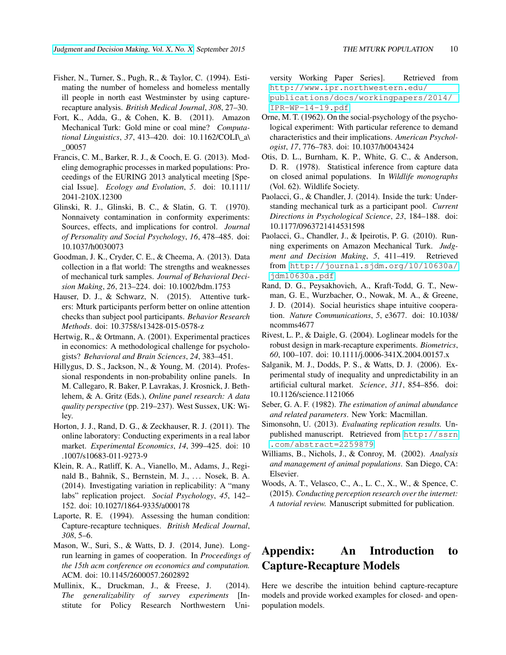- <span id="page-9-10"></span>Fisher, N., Turner, S., Pugh, R., & Taylor, C. (1994). Estimating the number of homeless and homeless mentally ill people in north east Westminster by using capturerecapture analysis. *British Medical Journal*, *308*, 27–30.
- <span id="page-9-13"></span>Fort, K., Adda, G., & Cohen, K. B. (2011). Amazon Mechanical Turk: Gold mine or coal mine? *Computational Linguistics*, *37*, 413–420. doi: 10.1162/COLI\\_a\ \_00057
- <span id="page-9-23"></span>Francis, C. M., Barker, R. J., & Cooch, E. G. (2013). Modeling demographic processes in marked populations: Proceedings of the EURING 2013 analytical meeting [Special Issue]. *Ecology and Evolution*, *5*. doi: 10.1111/ 2041-210X.12300
- <span id="page-9-14"></span>Glinski, R. J., Glinski, B. C., & Slatin, G. T. (1970). Nonnaivety contamination in conformity experiments: Sources, effects, and implications for control. *Journal of Personality and Social Psychology*, *16*, 478–485. doi: 10.1037/h0030073
- <span id="page-9-3"></span>Goodman, J. K., Cryder, C. E., & Cheema, A. (2013). Data collection in a flat world: The strengths and weaknesses of mechanical turk samples. *Journal of Behavioral Decision Making*, *26*, 213–224. doi: 10.1002/bdm.1753
- <span id="page-9-15"></span>Hauser, D. J., & Schwarz, N. (2015). Attentive turkers: Mturk participants perform better on online attention checks than subject pool participants. *Behavior Research Methods*. doi: 10.3758/s13428-015-0578-z
- <span id="page-9-19"></span>Hertwig, R., & Ortmann, A. (2001). Experimental practices in economics: A methodological challenge for psychologists? *Behavioral and Brain Sciences*, *24*, 383–451.
- <span id="page-9-12"></span>Hillygus, D. S., Jackson, N., & Young, M. (2014). Professional respondents in non-probability online panels. In M. Callegaro, R. Baker, P. Lavrakas, J. Krosnick, J. Bethlehem, & A. Gritz (Eds.), *Online panel research: A data quality perspective* (pp. 219–237). West Sussex, UK: Wiley.
- <span id="page-9-4"></span>Horton, J. J., Rand, D. G., & Zeckhauser, R. J. (2011). The online laboratory: Conducting experiments in a real labor market. *Experimental Economics*, *14*, 399–425. doi: 10 .1007/s10683-011-9273-9
- <span id="page-9-5"></span>Klein, R. A., Ratliff, K. A., Vianello, M., Adams, J., Reginald B., Bahnik, S., Bernstein, M. J., . . . Nosek, B. A. (2014). Investigating variation in replicability: A "many labs" replication project. *Social Psychology*, *45*, 142– 152. doi: 10.1027/1864-9335/a000178
- <span id="page-9-11"></span>Laporte, R. E. (1994). Assessing the human condition: Capture-recapture techniques. *British Medical Journal*, *308*, 5–6.
- <span id="page-9-16"></span>Mason, W., Suri, S., & Watts, D. J. (2014, June). Longrun learning in games of cooperation. In *Proceedings of the 15th acm conference on economics and computation.* ACM. doi: 10.1145/2600057.2602892
- <span id="page-9-6"></span>Mullinix, K., Druckman, J., & Freese, J. (2014). *The generalizability of survey experiments* [Institute for Policy Research Northwestern Uni-

versity Working Paper Series]. Retrieved from [http://www.ipr.northwestern.edu/](http://www.ipr.northwestern.edu/publications/docs/workingpapers/2014/IPR-WP-14-19.pdf)

[publications/docs/workingpapers/2014/](http://www.ipr.northwestern.edu/publications/docs/workingpapers/2014/IPR-WP-14-19.pdf) [IPR-WP-14-19.pdf](http://www.ipr.northwestern.edu/publications/docs/workingpapers/2014/IPR-WP-14-19.pdf)

- <span id="page-9-18"></span>Orne, M. T. (1962). On the social-psychology of the psychological experiment: With particular reference to demand characteristics and their implications. *American Psychologist*, *17*, 776–783. doi: 10.1037/h0043424
- <span id="page-9-8"></span>Otis, D. L., Burnham, K. P., White, G. C., & Anderson, D. R. (1978). Statistical inference from capture data on closed animal populations. In *Wildlife monographs* (Vol. 62). Wildlife Society.
- <span id="page-9-0"></span>Paolacci, G., & Chandler, J. (2014). Inside the turk: Understanding mechanical turk as a participant pool. *Current Directions in Psychological Science*, *23*, 184–188. doi: 10.1177/0963721414531598
- <span id="page-9-1"></span>Paolacci, G., Chandler, J., & Ipeirotis, P. G. (2010). Running experiments on Amazon Mechanical Turk. *Judgment and Decision Making*, *5*, 411–419. Retrieved from [http://journal.sjdm.org/10/10630a/](http://journal.sjdm.org/10/10630a/jdm10630a.pdf) [jdm10630a.pdf](http://journal.sjdm.org/10/10630a/jdm10630a.pdf)
- <span id="page-9-17"></span>Rand, D. G., Peysakhovich, A., Kraft-Todd, G. T., Newman, G. E., Wurzbacher, O., Nowak, M. A., & Greene, J. D. (2014). Social heuristics shape intuitive cooperation. *Nature Communications*, *5*, e3677. doi: 10.1038/ ncomms4677
- <span id="page-9-9"></span>Rivest, L. P., & Daigle, G. (2004). Loglinear models for the robust design in mark-recapture experiments. *Biometrics*, *60*, 100–107. doi: 10.1111/j.0006-341X.2004.00157.x
- <span id="page-9-21"></span>Salganik, M. J., Dodds, P. S., & Watts, D. J. (2006). Experimental study of inequality and unpredictability in an artificial cultural market. *Science*, *311*, 854–856. doi: 10.1126/science.1121066
- <span id="page-9-7"></span>Seber, G. A. F. (1982). *The estimation of animal abundance and related parameters*. New York: Macmillan.
- <span id="page-9-20"></span>Simonsohn, U. (2013). *Evaluating replication results.* Unpublished manuscript. Retrieved from [http://ssrn](http://ssrn.com/abstract=2259879) [.com/abstract=2259879](http://ssrn.com/abstract=2259879)
- <span id="page-9-22"></span>Williams, B., Nichols, J., & Conroy, M. (2002). *Analysis and management of animal populations*. San Diego, CA: Elsevier.
- <span id="page-9-2"></span>Woods, A. T., Velasco, C., A., L. C., X., W., & Spence, C. (2015). *Conducting perception research over the internet: A tutorial review.* Manuscript submitted for publication.

# Appendix: An Introduction to Capture-Recapture Models

Here we describe the intuition behind capture-recapture models and provide worked examples for closed- and openpopulation models.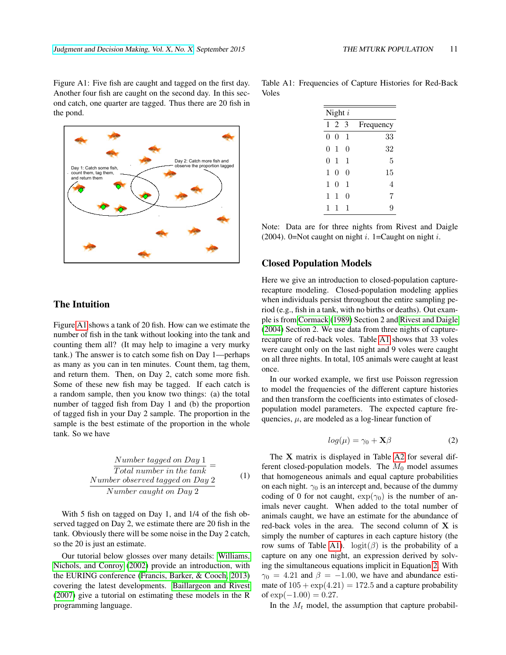Figure A1: Five fish are caught and tagged on the first day. Another four fish are caught on the second day. In this second catch, one quarter are tagged. Thus there are 20 fish in the pond.



Table A1: Frequencies of Capture Histories for Red-Back Voles

<span id="page-10-0"></span>

| Night $i$ |          |   |           |  |  |  |
|-----------|----------|---|-----------|--|--|--|
| 1         | 2        | 3 | Frequency |  |  |  |
| 0         | $\Omega$ | 1 | 33        |  |  |  |
| 0         | 1        | 0 | 32        |  |  |  |
| 0         | 1        | 1 | 5         |  |  |  |
| 1         | 0        | 0 | 15        |  |  |  |
| 1         | 0        | 1 | 4         |  |  |  |
| 1         | 1        | 0 | 7         |  |  |  |
| 1         | 1        | 1 | g         |  |  |  |

Note: Data are for three nights from Rivest and Daigle (2004). 0=Not caught on night i. 1=Caught on night i.

#### Closed Population Models

Here we give an introduction to closed-population capturerecapture modeling. Closed-population modeling applies when individuals persist throughout the entire sampling period (e.g., fish in a tank, with no births or deaths). Out example is from [Cormack](#page-8-3) [\(1989\)](#page-8-3) Section 2 and [Rivest and Daigle](#page-9-9) [\(2004\)](#page-9-9) Section 2. We use data from three nights of capturerecapture of red-back voles. Table [A1](#page-10-0) shows that 33 voles were caught only on the last night and 9 voles were caught on all three nights. In total, 105 animals were caught at least once.

In our worked example, we first use Poisson regression to model the frequencies of the different capture histories and then transform the coefficients into estimates of closedpopulation model parameters. The expected capture frequencies,  $\mu$ , are modeled as a log-linear function of

<span id="page-10-1"></span>
$$
log(\mu) = \gamma_0 + \mathbf{X}\beta \tag{2}
$$

The X matrix is displayed in Table [A2](#page-11-0) for several different closed-population models. The  $M_0$  model assumes that homogeneous animals and equal capture probabilities on each night.  $\gamma_0$  is an intercept and, because of the dummy coding of 0 for not caught,  $\exp(\gamma_0)$  is the number of animals never caught. When added to the total number of animals caught, we have an estimate for the abundance of red-back voles in the area. The second column of  $X$  is simply the number of captures in each capture history (the row sums of Table [A1\)](#page-10-0).  $logit(\beta)$  is the probability of a capture on any one night, an expression derived by solving the simultaneous equations implicit in Equation [2.](#page-10-1) With  $\gamma_0 = 4.21$  and  $\beta = -1.00$ , we have and abundance estimate of  $105 + \exp(4.21) = 172.5$  and a capture probability of  $\exp(-1.00) = 0.27$ .

In the  $M_t$  model, the assumption that capture probabil-

# The Intuition

Figure [A1](#page-2-0) shows a tank of 20 fish. How can we estimate the number of fish in the tank without looking into the tank and counting them all? (It may help to imagine a very murky tank.) The answer is to catch some fish on Day 1—perhaps as many as you can in ten minutes. Count them, tag them, and return them. Then, on Day 2, catch some more fish. Some of these new fish may be tagged. If each catch is a random sample, then you know two things: (a) the total number of tagged fish from Day 1 and (b) the proportion of tagged fish in your Day 2 sample. The proportion in the sample is the best estimate of the proportion in the whole tank. So we have

$$
\frac{Number tagged on Day 1}{Total number in the tank} =
$$
\n
$$
\frac{Number observed tagged on Day 2}{Number caught on Day 2}
$$
\n(1)

With 5 fish on tagged on Day 1, and 1/4 of the fish observed tagged on Day 2, we estimate there are 20 fish in the tank. Obviously there will be some noise in the Day 2 catch, so the 20 is just an estimate.

Our tutorial below glosses over many details: [Williams,](#page-9-22) [Nichols, and Conroy](#page-9-22) [\(2002\)](#page-9-22) provide an introduction, with the EURING conference [\(Francis, Barker, & Cooch, 2013\)](#page-9-23) covering the latest developments. [Baillargeon and Rivest](#page-8-4) [\(2007\)](#page-8-4) give a tutorial on estimating these models in the R programming language.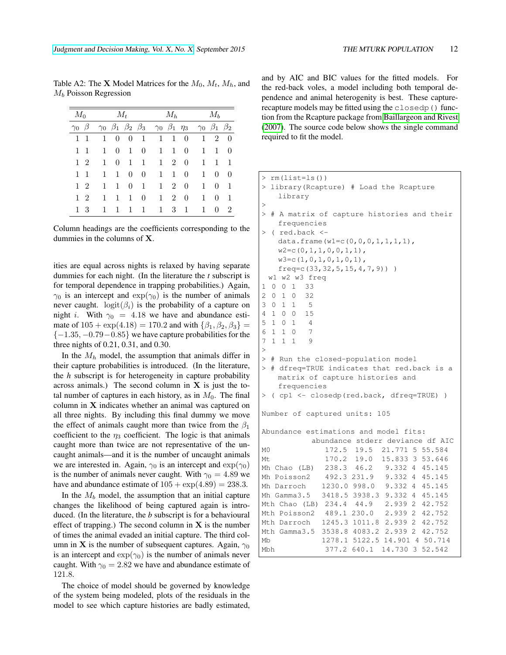|                    | $M_0$          |              | $M_t$       |              |                                                                                        | $M_h$                                                                                                 |                     |                | $M_b$        |              |                |
|--------------------|----------------|--------------|-------------|--------------|----------------------------------------------------------------------------------------|-------------------------------------------------------------------------------------------------------|---------------------|----------------|--------------|--------------|----------------|
| $\gamma_0$ $\beta$ |                |              |             |              |                                                                                        | $\gamma_0$ $\beta_1$ $\beta_2$ $\beta_3$ $\gamma_0$ $\beta_1$ $\eta_3$ $\gamma_0$ $\beta_1$ $\beta_2$ |                     |                |              |              |                |
|                    | $1 \; 1$       | $\mathbf{1}$ | $\theta$    | $\theta$     | $\begin{array}{\begin{array}{\small \begin{array}{\small \end{array}}}} 1 \end{array}$ |                                                                                                       | $1\quad 1\quad 0$   |                |              | $1\quad 2$   | $\theta$       |
|                    | $1 \quad 1$    | 1            | $\theta$    | 1            | $\theta$                                                                               |                                                                                                       | $1 \quad 1 \quad 0$ |                | $\mathbf{1}$ | $\mathbf{1}$ | $\theta$       |
|                    | 1 2            | 1            | $\theta$    | $\mathbf{1}$ | $\mathbf{1}$                                                                           |                                                                                                       | $1\quad 2\quad 0$   |                | $\mathbf{1}$ | $\mathbf{1}$ | $\mathbf{1}$   |
| $\mathbf{1}$       | $\overline{1}$ | $\mathbf{1}$ | $\mathbf 1$ | $\theta$     | $\theta$                                                                               | 1                                                                                                     | $\mathbf{1}$        | $\theta$       | $\mathbf{1}$ | $\theta$     | $\Omega$       |
|                    | 1 2            | $\mathbf{1}$ | $\mathbf 1$ | $\theta$     | $\mathbf{1}$                                                                           |                                                                                                       | $1\quad 2$          | $\overline{0}$ | $\mathbf{1}$ | $\theta$     | $\mathbf{1}$   |
|                    | $1\quad2$      | $\mathbf{1}$ | 1           | 1            | $\theta$                                                                               | 1                                                                                                     |                     | 2 0            | $\mathbf{1}$ | $\theta$     | $\mathbf{1}$   |
|                    | $1 \text{ } 3$ | 1            | 1           | $\mathbf{1}$ | $\mathbf{1}$                                                                           | 1                                                                                                     | 3                   | -1             | $\mathbf{1}$ | $\Omega$     | $\overline{2}$ |

<span id="page-11-0"></span>Table A2: The **X** Model Matrices for the  $M_0$ ,  $M_t$ ,  $M_h$ , and  $M_b$  Poisson Regression

Column headings are the coefficients corresponding to the dummies in the columns of X.

ities are equal across nights is relaxed by having separate dummies for each night. (In the literature the *t* subscript is for temporal dependence in trapping probabilities.) Again,  $\gamma_0$  is an intercept and  $\exp(\gamma_0)$  is the number of animals never caught.  $\text{logit}(\beta_i)$  is the probability of a capture on night *i*. With  $\gamma_0 = 4.18$  we have and abundance estimate of  $105 + \exp(4.18) = 170.2$  and with  $\{\beta_1, \beta_2, \beta_3\} =$  ${-1.35, -0.79 - 0.85}$  we have capture probabilities for the three nights of 0.21, 0.31, and 0.30.

In the  $M_h$  model, the assumption that animals differ in their capture probabilities is introduced. (In the literature, the *h* subscript is for heterogeneity in capture probability across animals.) The second column in  $X$  is just the total number of captures in each history, as in  $M_0$ . The final column in X indicates whether an animal was captured on all three nights. By including this final dummy we move the effect of animals caught more than twice from the  $\beta_1$ coefficient to the  $\eta_3$  coefficient. The logic is that animals caught more than twice are not representative of the uncaught animals—and it is the number of uncaught animals we are interested in. Again,  $\gamma_0$  is an intercept and  $\exp(\gamma_0)$ is the number of animals never caught. With  $\gamma_0 = 4.89$  we have and abundance estimate of  $105 + \exp(4.89) = 238.3$ .

In the  $M_b$  model, the assumption that an initial capture changes the likelihood of being captured again is introduced. (In the literature, the *b* subscript is for a behavioural effect of trapping.) The second column in  $X$  is the number of times the animal evaded an initial capture. The third column in **X** is the number of subsequent captures. Again,  $\gamma_0$ is an intercept and  $\exp(\gamma_0)$  is the number of animals never caught. With  $\gamma_0 = 2.82$  we have and abundance estimate of 121.8.

The choice of model should be governed by knowledge of the system being modeled, plots of the residuals in the model to see which capture histories are badly estimated, and by AIC and BIC values for the fitted models. For the red-back voles, a model including both temporal dependence and animal heterogenity is best. These capturerecapture models may be fitted using the closedp() function from the Rcapture package from [Baillargeon and Rivest](#page-8-4) [\(2007\)](#page-8-4). The source code below shows the single command required to fit the model.

```
> rm(list=ls())
 library(Rcapture) # Load the Rcapture
   library
>
 # A matrix of capture histories and their
   frequencies
> ( red.back <-
   data.frame(w1=c(0,0,0,1,1,1,1),
   w2=c(0,1,1,0,0,1,1),
   w3=c(1,0,1,0,1,0,1),
   freq=c(33,32,5,15,4,7,9)) )
 w1 w2 w3 freq
1 0 0 1 33
2 0 1 0 32
3 0 1 1 5
4 1 0 0 15
5 1 0 1 4
6 1 1 0 7
7 1 1 1 9
>
> # Run the closed-population model
> # dfreq=TRUE indicates that red.back is a
   matrix of capture histories and
   frequencies
> ( cp1 <- closedp(red.back, dfreq=TRUE) )
Number of captured units: 105
Abundance estimations and model fits:
          abundance stderr deviance df AIC
M0 172.5 19.5 21.771 5 55.584
Mt 170.2 19.0 15.833 3 53.646
Mh Chao (LB) 238.3 46.2 9.332 4 45.145
Mh Poisson2 492.3 231.9 9.332 4 45.145
Mh Darroch 1230.0 998.0 9.332 4 45.145
Mh Gamma3.5 3418.5 3938.3 9.332 4 45.145
Mth Chao (LB) 234.4 44.9 2.939 2 42.752
Mth Poisson2 489.1 230.0 2.939 2 42.752
Mth Darroch 1245.3 1011.8 2.939 2 42.752
Mth Gamma3.5 3538.8 4083.2 2.939 2 42.752
Mb 1278.1 5122.5 14.901 4 50.714
Mbh 377.2 640.1 14.730 3 52.542
```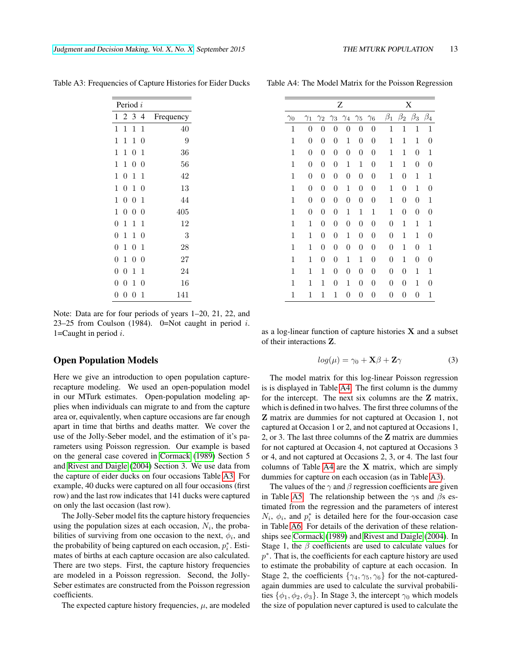<span id="page-12-0"></span>

| Period i         |                  |                  |                  |           |  |  |
|------------------|------------------|------------------|------------------|-----------|--|--|
| 1                | 2                | 3                | 4                | Frequency |  |  |
| 1                | 1                | 1                | 1                | 40        |  |  |
| 1                | 1                | 1                | 0                | 9         |  |  |
| 1                | 1                | 0                | 1                | 36        |  |  |
| 1                | 1                | $\boldsymbol{0}$ | 0                | 56        |  |  |
| 1                | $\boldsymbol{0}$ | 1                | 1                | 42        |  |  |
| 1                | $\overline{0}$   | $\mathbf 1$      | $\boldsymbol{0}$ | 13        |  |  |
| 1                | $\overline{0}$   | $\boldsymbol{0}$ | 1                | 44        |  |  |
| 1                | $\overline{0}$   | $\overline{0}$   | 0                | 405       |  |  |
| $\rm 0$          | 1                | 1                | 1                | 12        |  |  |
| $\rm 0$          | 1                | 1                | 0                | 3         |  |  |
| $\rm 0$          | 1                | $\overline{0}$   | 1                | 28        |  |  |
| $\rm 0$          | 1                | $\boldsymbol{0}$ | $\boldsymbol{0}$ | 27        |  |  |
| $\boldsymbol{0}$ | $\overline{0}$   | 1                | 1                | 24        |  |  |
| 0                | 0                | 1                | 0                | 16        |  |  |
| 0                | 0                | $\overline{0}$   | 1                | 141       |  |  |

Table A3: Frequencies of Capture Histories for Eider Ducks

Note: Data are for four periods of years 1–20, 21, 22, and 23–25 from Coulson (1984). 0=Not caught in period  $i$ . 1=Caught in period  $i$ .

#### Open Population Models

Here we give an introduction to open population capturerecapture modeling. We used an open-population model in our MTurk estimates. Open-population modeling applies when individuals can migrate to and from the capture area or, equivalently, when capture occasions are far enough apart in time that births and deaths matter. We cover the use of the Jolly-Seber model, and the estimation of it's parameters using Poisson regression. Our example is based on the general case covered in [Cormack](#page-8-3) [\(1989\)](#page-8-3) Section 5 and [Rivest and Daigle](#page-9-9) [\(2004\)](#page-9-9) Section 3. We use data from the capture of eider ducks on four occasions Table [A3.](#page-12-0) For example, 40 ducks were captured on all four occasions (first row) and the last row indicates that 141 ducks were captured on only the last occasion (last row).

The Jolly-Seber model fits the capture history frequencies using the population sizes at each occasion,  $N_i$ , the probabilities of surviving from one occasion to the next,  $\phi_i$ , and the probability of being captured on each occasion,  $p_i^*$ . Estimates of births at each capture occasion are also calculated. There are two steps. First, the capture history frequencies are modeled in a Poisson regression. Second, the Jolly-Seber estimates are constructed from the Poisson regression coefficients.

The expected capture history frequencies,  $\mu$ , are modeled

<span id="page-12-1"></span>

| Z            |                  |                  |                  |                  |                  |                  |                  |                  | X                |                  |
|--------------|------------------|------------------|------------------|------------------|------------------|------------------|------------------|------------------|------------------|------------------|
| $\gamma_0$   | $\gamma_1$       | $\gamma_2$       | $\gamma_3$       | $\gamma_4$       | $\gamma_5$       | $\gamma_6$       | $\beta_1$        | $\beta_2$        | $\beta_3$        | $\beta_4$        |
| 1            | $\boldsymbol{0}$ | $\overline{0}$   | 0                | 0                | 0                | $\boldsymbol{0}$ | $\mathbf 1$      | $\mathbf 1$      | $\mathbf{1}$     | $\mathbf 1$      |
| $\mathbf 1$  | $\boldsymbol{0}$ | $\boldsymbol{0}$ | $\boldsymbol{0}$ | $\mathbf{1}$     | $\boldsymbol{0}$ | $\boldsymbol{0}$ | $\mathbf 1$      | 1                | $\mathbf 1$      | $\boldsymbol{0}$ |
| 1            | $\boldsymbol{0}$ | $\boldsymbol{0}$ | $\boldsymbol{0}$ | $\boldsymbol{0}$ | $\boldsymbol{0}$ | 0                | 1                | 1                | $\boldsymbol{0}$ | 1                |
| $\mathbf{1}$ | $\boldsymbol{0}$ | $\boldsymbol{0}$ | $\boldsymbol{0}$ | $\mathbf{1}$     | $\mathbf{1}$     | 0                | $\mathbf 1$      | $\mathbf{1}$     | $\boldsymbol{0}$ | 0                |
| 1            | $\boldsymbol{0}$ | $\boldsymbol{0}$ | $\boldsymbol{0}$ | $\boldsymbol{0}$ | $\boldsymbol{0}$ | $\boldsymbol{0}$ | $\mathbf{1}$     | $\boldsymbol{0}$ | $\mathbf 1$      | 1                |
| $\mathbf{1}$ | $\boldsymbol{0}$ | $\boldsymbol{0}$ | $\boldsymbol{0}$ | $\mathbf{1}$     | $\boldsymbol{0}$ | $\boldsymbol{0}$ | $\mathbf 1$      | $\boldsymbol{0}$ | $\mathbf 1$      | $\boldsymbol{0}$ |
| $\mathbf 1$  | $\boldsymbol{0}$ | $\boldsymbol{0}$ | $\boldsymbol{0}$ | $\boldsymbol{0}$ | $\boldsymbol{0}$ | $\boldsymbol{0}$ | $\mathbf{1}$     | $\boldsymbol{0}$ | $\boldsymbol{0}$ | $\,1$            |
| $\mathbf{1}$ | $\boldsymbol{0}$ | $\boldsymbol{0}$ | $\boldsymbol{0}$ | $\mathbf 1$      | $\mathbf{1}$     | $\mathbf 1$      | $\mathbf{1}$     | $\boldsymbol{0}$ | $\boldsymbol{0}$ | $\boldsymbol{0}$ |
| 1            | 1                | $\boldsymbol{0}$ | $\boldsymbol{0}$ | $\boldsymbol{0}$ | $\boldsymbol{0}$ | 0                | $\boldsymbol{0}$ | $\mathbf 1$      | $\mathbf 1$      | 1                |
| $\mathbf{1}$ | $\mathbf{1}$     | $\boldsymbol{0}$ | $\boldsymbol{0}$ | $\mathbf{1}$     | $\boldsymbol{0}$ | $\boldsymbol{0}$ | $\boldsymbol{0}$ | $\mathbf{1}$     | $\mathbf{1}$     | $\boldsymbol{0}$ |
| $\mathbf{1}$ | 1                | $\boldsymbol{0}$ | $\boldsymbol{0}$ | $\boldsymbol{0}$ | $\boldsymbol{0}$ | $\boldsymbol{0}$ | $\boldsymbol{0}$ | $\mathbf 1$      | $\boldsymbol{0}$ | $\,1$            |
| $\mathbf{1}$ | 1                | $\boldsymbol{0}$ | $\boldsymbol{0}$ | $\mathbf{1}$     | $\mathbf{1}$     | $\boldsymbol{0}$ | $\boldsymbol{0}$ | $\mathbf 1$      | $\boldsymbol{0}$ | $\boldsymbol{0}$ |
| 1            | 1                | 1                | $\boldsymbol{0}$ | $\boldsymbol{0}$ | $\boldsymbol{0}$ | $\boldsymbol{0}$ | $\boldsymbol{0}$ | $\boldsymbol{0}$ | $\mathbf 1$      | 1                |
| $\mathbf 1$  | 1                | 1                | $\boldsymbol{0}$ | $\mathbf{1}$     | $\boldsymbol{0}$ | $\boldsymbol{0}$ | $\boldsymbol{0}$ | $\boldsymbol{0}$ | $\mathbf 1$      | $\boldsymbol{0}$ |
| $\mathbf 1$  | 1                | 1                | 1                | 0                | $\boldsymbol{0}$ | $\boldsymbol{0}$ | $\rm 0$          | $\boldsymbol{0}$ | $\boldsymbol{0}$ | $\mathbf 1$      |

Table A4: The Model Matrix for the Poisson Regression

as a log-linear function of capture histories  $X$  and a subset of their interactions Z.

$$
log(\mu) = \gamma_0 + \mathbf{X}\beta + \mathbf{Z}\gamma \tag{3}
$$

The model matrix for this log-linear Poisson regression is is displayed in Table [A4.](#page-12-1) The first column is the dummy for the intercept. The next six columns are the Z matrix, which is defined in two halves. The first three columns of the Z matrix are dummies for not captured at Occasion 1, not captured at Occasion 1 or 2, and not captured at Occasions 1, 2, or 3. The last three columns of the Z matrix are dummies for not captured at Occasion 4, not captured at Occasions 3 or 4, and not captured at Occasions 2, 3, or 4. The last four columns of Table  $A4$  are the X matrix, which are simply dummies for capture on each occasion (as in Table [A3\)](#page-12-0).

The values of the  $\gamma$  and  $\beta$  regression coefficients are given in Table [A5.](#page-13-0) The relationship between the  $\gamma s$  and  $\beta s$  estimated from the regression and the parameters of interest  $N_i$ ,  $\phi_i$ , and  $p_i^*$  is detailed here for the four-occasion case in Table [A6.](#page-14-0) For details of the derivation of these relationships see [Cormack](#page-8-3) [\(1989\)](#page-8-3) and [Rivest and Daigle](#page-9-9) [\(2004\)](#page-9-9). In Stage 1, the  $\beta$  coefficients are used to calculate values for p<sup>\*</sup>. That is, the coefficients for each capture history are used to estimate the probability of capture at each occasion. In Stage 2, the coefficients  $\{\gamma_4, \gamma_5, \gamma_6\}$  for the not-capturedagain dummies are used to calculate the survival probabilities  $\{\phi_1, \phi_2, \phi_3\}$ . In Stage 3, the intercept  $\gamma_0$  which models the size of population never captured is used to calculate the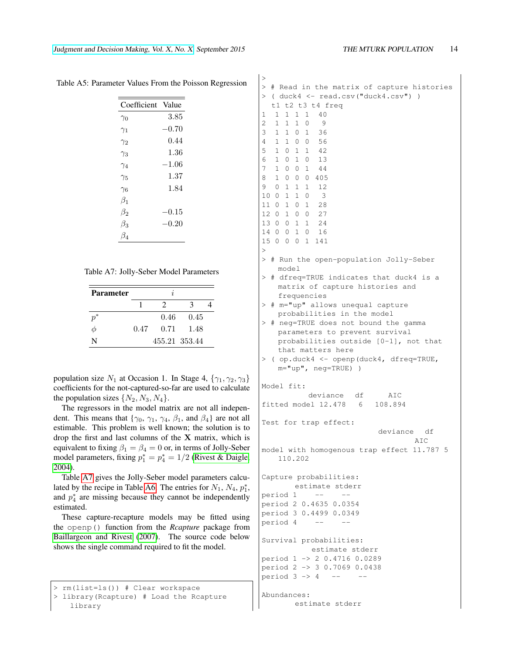<span id="page-13-0"></span>

| Coefficient | Value     |
|-------------|-----------|
| $\gamma_0$  | 3.85      |
| $\gamma_1$  | $-0.70$   |
| $\gamma_2$  | 0.44      |
| $\gamma_3$  | 1.36      |
| $\gamma_4$  | $-1.06\,$ |
| $\gamma_5$  | 1.37      |
| $\gamma_6$  | 1.84      |
| $\beta_1$   |           |
| $\beta_2$   | $-0.15$   |
| $\beta_3$   | $-0.20$   |
| Bл          |           |

Table A5: Parameter Values From the Poisson Regression

 $\overline{1}$ 

<span id="page-13-1"></span>

|  | Table A7: Jolly-Seber Model Parameters |  |  |
|--|----------------------------------------|--|--|
|--|----------------------------------------|--|--|

| <b>Parameter</b> |      | І.             |               |  |
|------------------|------|----------------|---------------|--|
|                  |      | 2              | 2             |  |
| $p^\ast$         |      | $0.46^{\circ}$ | 0.45          |  |
| Ф                | 0.47 | 0.71           | 1.48          |  |
| N                |      |                | 455.21 353.44 |  |

population size  $N_1$  at Occasion 1. In Stage 4,  $\{\gamma_1, \gamma_2, \gamma_3\}$ coefficients for the not-captured-so-far are used to calculate the population sizes  $\{N_2, N_3, N_4\}.$ 

The regressors in the model matrix are not all independent. This means that { $\gamma_0$ ,  $\gamma_1$ ,  $\gamma_4$ ,  $\beta_1$ , and  $\beta_4$ } are not all estimable. This problem is well known; the solution is to drop the first and last columns of the  $X$  matrix, which is equivalent to fixing  $\beta_1 = \beta_4 = 0$  or, in terms of Jolly-Seber model parameters, fixing  $p_1^* = p_4^* = 1/2$  [\(Rivest & Daigle,](#page-9-9) [2004\)](#page-9-9).

Table [A7](#page-13-1) gives the Jolly-Seber model parameters calcu-lated by the recipe in Table [A6.](#page-14-0) The entries for  $N_1$ ,  $N_4$ ,  $p_1^*$ , and  $p_4^*$  are missing because they cannot be independently estimated.

These capture-recapture models may be fitted using the openp() function from the *Rcapture* package from [Baillargeon and Rivest](#page-8-4) [\(2007\)](#page-8-4). The source code below shows the single command required to fit the model.

```
> rm(list=ls()) # Clear workspace
```

```
> library(Rcapture) # Load the Rcapture
   library
```

| >                                                                                                                                     |
|---------------------------------------------------------------------------------------------------------------------------------------|
| # Read in the matrix of capture histories<br>>                                                                                        |
| $($ duck4 $\leq$ read.csv("duck4.csv") )<br>>                                                                                         |
| t1 t2 t3 t4 freq                                                                                                                      |
| 1<br>$\mathbf 1$<br>1<br>1<br>$\mathbf{1}$<br>40                                                                                      |
| 2<br>$\mathbf{1}$<br>$\mathbf{1}$<br>$\mathbf{1}$<br>0<br>9                                                                           |
| 3<br>$\mathbf{1}$<br>$\mathbf{1}$<br>$\mathbf{1}$<br>$\circ$<br>36                                                                    |
| 4<br>$\mathbf{1}$<br>1 0 0<br>56                                                                                                      |
| 5<br>1 0 1 1 42                                                                                                                       |
| 6<br>1 0 1 0<br>13                                                                                                                    |
| 7<br>$\mathbf{1}$<br>1<br>$0\quad 0$<br>44                                                                                            |
| 8<br>$\mathbf{1}$<br>$0\quad 0$<br>$\circ$<br>405                                                                                     |
| 9<br>0<br>$\mathbf{1}$<br>$\mathbf{1}$<br>$\mathbf{1}$<br>- 12<br>10<br>1<br>$\mathbf{1}$<br>$\overline{\phantom{a}}$<br>$\circ$<br>0 |
| $1\quad 0\quad 1$<br>11<br>0<br>28                                                                                                    |
| 12<br>0 1 0 0                                                                                                                         |
| 27<br>$0 \t0 \t1$<br>1<br>13<br>- 24                                                                                                  |
| 16<br>14<br>0 0 1 0                                                                                                                   |
| 15<br>$0\quad1$<br>0<br>$\circ$<br>141                                                                                                |
| >                                                                                                                                     |
| ><br># Run the open-population Jolly-Seber<br>model                                                                                   |
| # dfreq=TRUE indicates that duck4 is a<br>$\rm{>}$                                                                                    |
| matrix of capture histories and                                                                                                       |
| frequencies                                                                                                                           |
| # m="up" allows unequal capture<br>$\rm{>}$                                                                                           |
| probabilities in the model                                                                                                            |
| # neg=TRUE does not bound the gamma<br>≻                                                                                              |
| parameters to prevent survival                                                                                                        |
| probabilities outside [0-1], not that                                                                                                 |
| that matters here                                                                                                                     |
| ( op.duck4 <- openp(duck4, dfreq=TRUE,<br>>                                                                                           |
| $m = "up", neq = TRUE)$ )                                                                                                             |
| Model fit:                                                                                                                            |
| deviance df<br>AIC                                                                                                                    |
| fitted model 12.478 6 108.894                                                                                                         |
|                                                                                                                                       |
| Test for trap effect:                                                                                                                 |
| deviance<br>df                                                                                                                        |
| AIC                                                                                                                                   |
| model with homogenous trap effect 11.787 5                                                                                            |
| 110.202                                                                                                                               |
|                                                                                                                                       |
| Capture probabilities:                                                                                                                |
| estimate stderr                                                                                                                       |
| $-$<br>period 1                                                                                                                       |
| period 2 0.4635 0.0354                                                                                                                |
| period 3 0.4499 0.0349                                                                                                                |
| period 4 --                                                                                                                           |
|                                                                                                                                       |
| Survival probabilities:                                                                                                               |
| estimate stderr                                                                                                                       |
| period 1 -> 2 0.4716 0.0289                                                                                                           |
| period 2 -> 3 0.7069 0.0438                                                                                                           |
| period $3 \rightarrow 4$ --                                                                                                           |
|                                                                                                                                       |
|                                                                                                                                       |
| Abundances:<br>estimate stderr                                                                                                        |